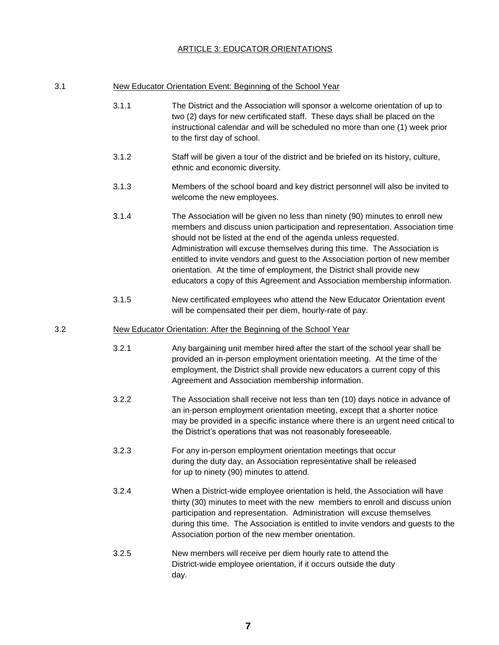## ARTICLE 3: EDUCATOR ORIENTATIONS

| New Educator Orientation Event: Beginning of the School Year<br>3.1 |  |
|---------------------------------------------------------------------|--|
|---------------------------------------------------------------------|--|

- 3.1.1 The District and the Association will sponsor a welcome orientation of up to two (2) days for new certificated staff. These days shall be placed on the instructional calendar and will be scheduled no more than one (1) week prior to the first day of school.
- 3.1.2 Staff will be given a tour of the district and be briefed on its history, culture, ethnic and economic diversity.
- 3.1.3 Members of the school board and key district personnel will also be invited to welcome the new employees.
- 3.1.4 The Association will be given no less than ninety (90) minutes to enroll new members and discuss union participation and representation. Association time should not be listed at the end of the agenda unless requested. Administration will excuse themselves during this time. The Association is entitled to invite vendors and guest to the Association portion of new member orientation. At the time of employment, the District shall provide new educators a copy of this Agreement and Association membership information.
- 3.1.5 New certificated employees who attend the New Educator Orientation event will be compensated their per diem, hourly-rate of pay.

## 3.2 New Educator Orientation: After the Beginning of the School Year

- 3.2.1 Any bargaining unit member hired after the start of the school year shall be provided an in-person employment orientation meeting. At the time of the employment, the District shall provide new educators a current copy of this Agreement and Association membership information.
- 3.2.2 The Association shall receive not less than ten (10) days notice in advance of an in-person employment orientation meeting, except that a shorter notice may be provided in a specific instance where there is an urgent need critical to the District's operations that was not reasonably foreseeable.
- 3.2.3 For any in-person employment orientation meetings that occur during the duty day, an Association representative shall be released for up to ninety (90) minutes to attend.
- 3.2.4 When a District-wide employee orientation is held, the Association will have thirty (30) minutes to meet with the new members to enroll and discuss union participation and representation. Administration will excuse themselves during this time. The Association is entitled to invite vendors and guests to the Association portion of the new member orientation.
- 3.2.5 New members will receive per diem hourly rate to attend the District-wide employee orientation, if it occurs outside the duty day.

**7**